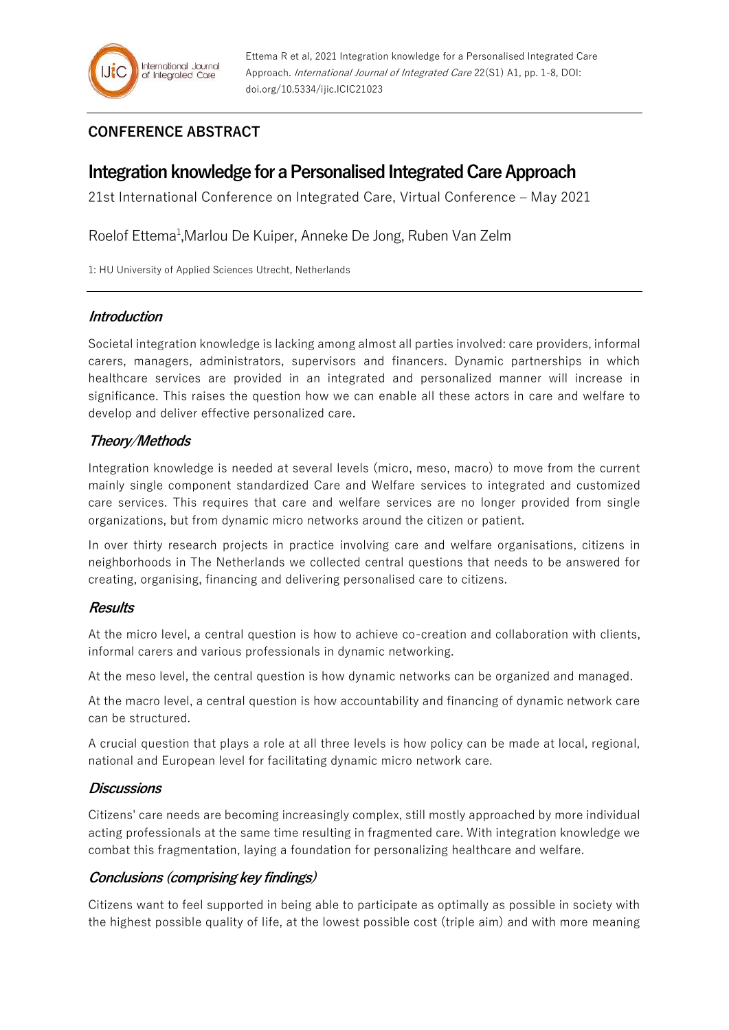## **CONFERENCE ABSTRACT**

# **Integration knowledge for a Personalised Integrated Care Approach**

21st International Conference on Integrated Care, Virtual Conference – May 2021

Roelof Ettema<sup>1</sup>, Marlou De Kuiper, Anneke De Jong, Ruben Van Zelm

1: HU University of Applied Sciences Utrecht, Netherlands

#### **Introduction**

Societal integration knowledge is lacking among almost all parties involved: care providers, informal carers, managers, administrators, supervisors and financers. Dynamic partnerships in which healthcare services are provided in an integrated and personalized manner will increase in significance. This raises the question how we can enable all these actors in care and welfare to develop and deliver effective personalized care.

## **Theory/Methods**

Integration knowledge is needed at several levels (micro, meso, macro) to move from the current mainly single component standardized Care and Welfare services to integrated and customized care services. This requires that care and welfare services are no longer provided from single organizations, but from dynamic micro networks around the citizen or patient.

In over thirty research projects in practice involving care and welfare organisations, citizens in neighborhoods in The Netherlands we collected central questions that needs to be answered for creating, organising, financing and delivering personalised care to citizens.

## **Results**

At the micro level, a central question is how to achieve co-creation and collaboration with clients, informal carers and various professionals in dynamic networking.

At the meso level, the central question is how dynamic networks can be organized and managed.

At the macro level, a central question is how accountability and financing of dynamic network care can be structured.

A crucial question that plays a role at all three levels is how policy can be made at local, regional, national and European level for facilitating dynamic micro network care.

#### **Discussions**

Citizens' care needs are becoming increasingly complex, still mostly approached by more individual acting professionals at the same time resulting in fragmented care. With integration knowledge we combat this fragmentation, laying a foundation for personalizing healthcare and welfare.

## **Conclusions (comprising key findings)**

Citizens want to feel supported in being able to participate as optimally as possible in society with the highest possible quality of life, at the lowest possible cost (triple aim) and with more meaning